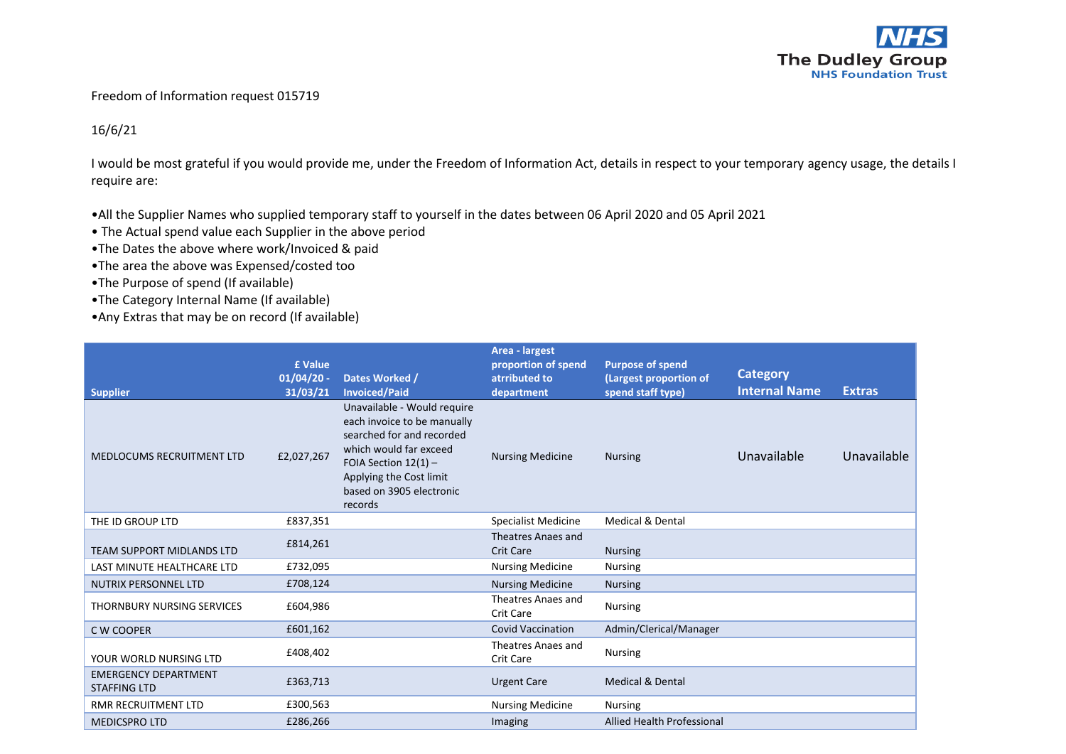

## Freedom of Information request 015719

## 16/6/21

I would be most grateful if you would provide me, under the Freedom of Information Act, details in respect to your temporary agency usage, the details I require are:

•All the Supplier Names who supplied temporary staff to yourself in the dates between 06 April 2020 and 05 April 2021

- The Actual spend value each Supplier in the above period
- •The Dates the above where work/Invoiced & paid
- •The area the above was Expensed/costed too
- •The Purpose of spend (If available)
- •The Category Internal Name (If available)
- •Any Extras that may be on record (If available)

| <b>Supplier</b>                                    | £ Value<br>$01/04/20$ -<br>31/03/21 | Dates Worked /<br><b>Invoiced/Paid</b>                                                                                                                                                                        | Area - largest<br>proportion of spend<br>atrributed to<br>department | <b>Purpose of spend</b><br>(Largest proportion of<br>spend staff type) | <b>Category</b><br><b>Internal Name</b> | <b>Extras</b> |
|----------------------------------------------------|-------------------------------------|---------------------------------------------------------------------------------------------------------------------------------------------------------------------------------------------------------------|----------------------------------------------------------------------|------------------------------------------------------------------------|-----------------------------------------|---------------|
| <b>MEDLOCUMS RECRUITMENT LTD</b>                   | £2,027,267                          | Unavailable - Would require<br>each invoice to be manually<br>searched for and recorded<br>which would far exceed<br>FOIA Section $12(1)$ -<br>Applying the Cost limit<br>based on 3905 electronic<br>records | <b>Nursing Medicine</b>                                              | <b>Nursing</b>                                                         | Unavailable                             | Unavailable   |
| THE ID GROUP LTD                                   | £837,351                            |                                                                                                                                                                                                               | <b>Specialist Medicine</b>                                           | <b>Medical &amp; Dental</b>                                            |                                         |               |
| <b>TEAM SUPPORT MIDLANDS LTD</b>                   | £814,261                            |                                                                                                                                                                                                               | Theatres Anaes and<br><b>Crit Care</b>                               | <b>Nursing</b>                                                         |                                         |               |
| LAST MINUTE HEALTHCARE LTD                         | £732,095                            |                                                                                                                                                                                                               | <b>Nursing Medicine</b>                                              | <b>Nursing</b>                                                         |                                         |               |
| <b>NUTRIX PERSONNEL LTD</b>                        | £708,124                            |                                                                                                                                                                                                               | <b>Nursing Medicine</b>                                              | <b>Nursing</b>                                                         |                                         |               |
| THORNBURY NURSING SERVICES                         | £604,986                            |                                                                                                                                                                                                               | Theatres Anaes and<br>Crit Care                                      | <b>Nursing</b>                                                         |                                         |               |
| C W COOPER                                         | £601,162                            |                                                                                                                                                                                                               | <b>Covid Vaccination</b>                                             | Admin/Clerical/Manager                                                 |                                         |               |
| YOUR WORLD NURSING LTD                             | £408,402                            |                                                                                                                                                                                                               | Theatres Anaes and<br>Crit Care                                      | <b>Nursing</b>                                                         |                                         |               |
| <b>EMERGENCY DEPARTMENT</b><br><b>STAFFING LTD</b> | £363,713                            |                                                                                                                                                                                                               | <b>Urgent Care</b>                                                   | <b>Medical &amp; Dental</b>                                            |                                         |               |
| <b>RMR RECRUITMENT LTD</b>                         | £300,563                            |                                                                                                                                                                                                               | <b>Nursing Medicine</b>                                              | <b>Nursing</b>                                                         |                                         |               |
| <b>MEDICSPRO LTD</b>                               | £286,266                            |                                                                                                                                                                                                               | Imaging                                                              | <b>Allied Health Professional</b>                                      |                                         |               |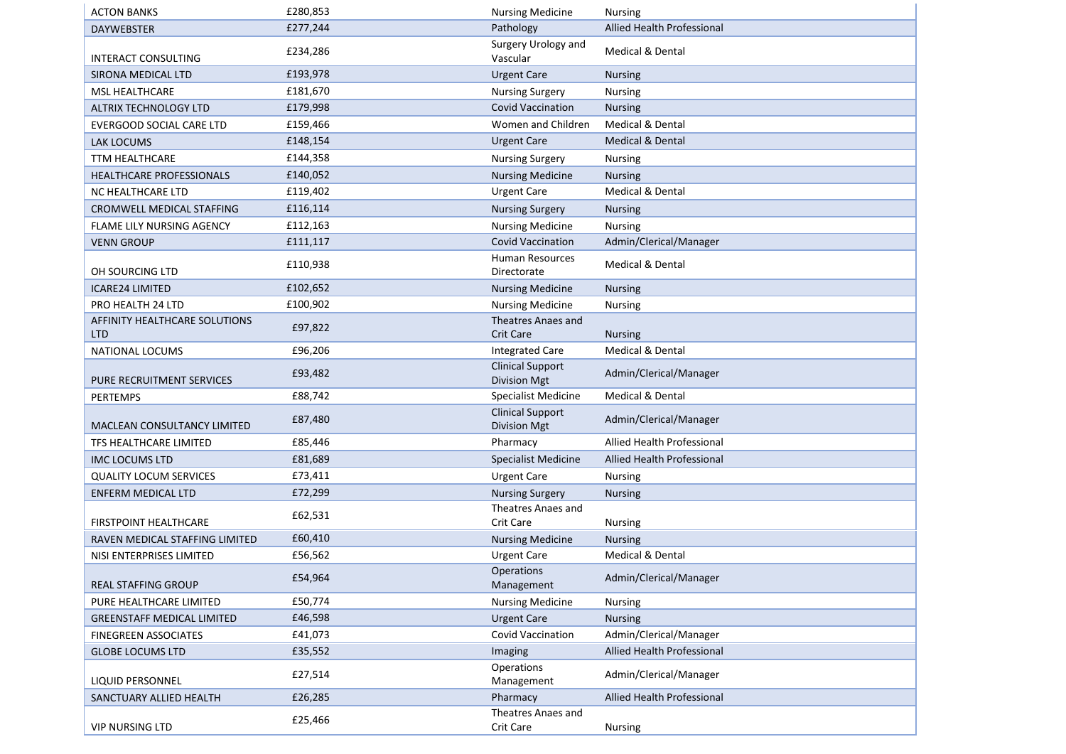| <b>ACTON BANKS</b>                          | £280,853 | <b>Nursing Medicine</b>                        | <b>Nursing</b>              |
|---------------------------------------------|----------|------------------------------------------------|-----------------------------|
| <b>DAYWEBSTER</b>                           | £277,244 | Pathology                                      | Allied Health Professional  |
| INTERACT CONSULTING                         | £234,286 | Surgery Urology and<br>Vascular                | Medical & Dental            |
| SIRONA MEDICAL LTD                          | £193,978 | <b>Urgent Care</b>                             | <b>Nursing</b>              |
| <b>MSL HEALTHCARE</b>                       | £181,670 | <b>Nursing Surgery</b>                         | Nursing                     |
| ALTRIX TECHNOLOGY LTD                       | £179,998 | <b>Covid Vaccination</b>                       | <b>Nursing</b>              |
| <b>EVERGOOD SOCIAL CARE LTD</b>             | £159,466 | Women and Children                             | Medical & Dental            |
| LAK LOCUMS                                  | £148,154 | <b>Urgent Care</b>                             | Medical & Dental            |
| <b>TTM HEALTHCARE</b>                       | £144,358 | <b>Nursing Surgery</b>                         | Nursing                     |
| HEALTHCARE PROFESSIONALS                    | £140,052 | <b>Nursing Medicine</b>                        | <b>Nursing</b>              |
| NC HEALTHCARE LTD                           | £119,402 | <b>Urgent Care</b>                             | Medical & Dental            |
| CROMWELL MEDICAL STAFFING                   | £116,114 | <b>Nursing Surgery</b>                         | <b>Nursing</b>              |
| FLAME LILY NURSING AGENCY                   | £112,163 | <b>Nursing Medicine</b>                        | Nursing                     |
| <b>VENN GROUP</b>                           | £111,117 | <b>Covid Vaccination</b>                       | Admin/Clerical/Manager      |
| OH SOURCING LTD                             | £110,938 | <b>Human Resources</b><br>Directorate          | Medical & Dental            |
| <b>ICARE24 LIMITED</b>                      | £102,652 | <b>Nursing Medicine</b>                        | <b>Nursing</b>              |
| PRO HEALTH 24 LTD                           | £100,902 | <b>Nursing Medicine</b>                        | Nursing                     |
| AFFINITY HEALTHCARE SOLUTIONS<br><b>LTD</b> | £97,822  | Theatres Anaes and<br><b>Crit Care</b>         | <b>Nursing</b>              |
| NATIONAL LOCUMS                             | £96,206  | <b>Integrated Care</b>                         | Medical & Dental            |
| PURE RECRUITMENT SERVICES                   | £93,482  | <b>Clinical Support</b><br>Division Mgt        | Admin/Clerical/Manager      |
| <b>PERTEMPS</b>                             | £88,742  | Specialist Medicine                            | <b>Medical &amp; Dental</b> |
| <b>MACLEAN CONSULTANCY LIMITED</b>          | £87,480  | <b>Clinical Support</b><br><b>Division Mgt</b> | Admin/Clerical/Manager      |
| TFS HEALTHCARE LIMITED                      | £85,446  | Pharmacy                                       | Allied Health Professional  |
| <b>IMC LOCUMS LTD</b>                       | £81,689  | Specialist Medicine                            | Allied Health Professional  |
| <b>QUALITY LOCUM SERVICES</b>               | £73,411  | <b>Urgent Care</b>                             | Nursing                     |
| <b>ENFERM MEDICAL LTD</b>                   | £72,299  | <b>Nursing Surgery</b>                         | <b>Nursing</b>              |
| <b>FIRSTPOINT HEALTHCARE</b>                | £62,531  | Theatres Anaes and<br>Crit Care                | <b>Nursing</b>              |
| RAVEN MEDICAL STAFFING LIMITED              | £60,410  | <b>Nursing Medicine</b>                        | <b>Nursing</b>              |
| NISI ENTERPRISES LIMITED                    | £56,562  | <b>Urgent Care</b>                             | <b>Medical &amp; Dental</b> |
| <b>REAL STAFFING GROUP</b>                  | £54,964  | Operations<br>Management                       | Admin/Clerical/Manager      |
| PURE HEALTHCARE LIMITED                     | £50,774  | <b>Nursing Medicine</b>                        | Nursing                     |
| <b>GREENSTAFF MEDICAL LIMITED</b>           | £46,598  | <b>Urgent Care</b>                             | <b>Nursing</b>              |
| FINEGREEN ASSOCIATES                        | £41,073  | Covid Vaccination                              | Admin/Clerical/Manager      |
| <b>GLOBE LOCUMS LTD</b>                     | £35,552  | Imaging                                        | Allied Health Professional  |
| <b>LIQUID PERSONNEL</b>                     | £27,514  | Operations<br>Management                       | Admin/Clerical/Manager      |
| SANCTUARY ALLIED HEALTH                     | £26,285  | Pharmacy                                       | Allied Health Professional  |
| <b>VIP NURSING LTD</b>                      | £25,466  | Theatres Anaes and<br>Crit Care                | Nursing                     |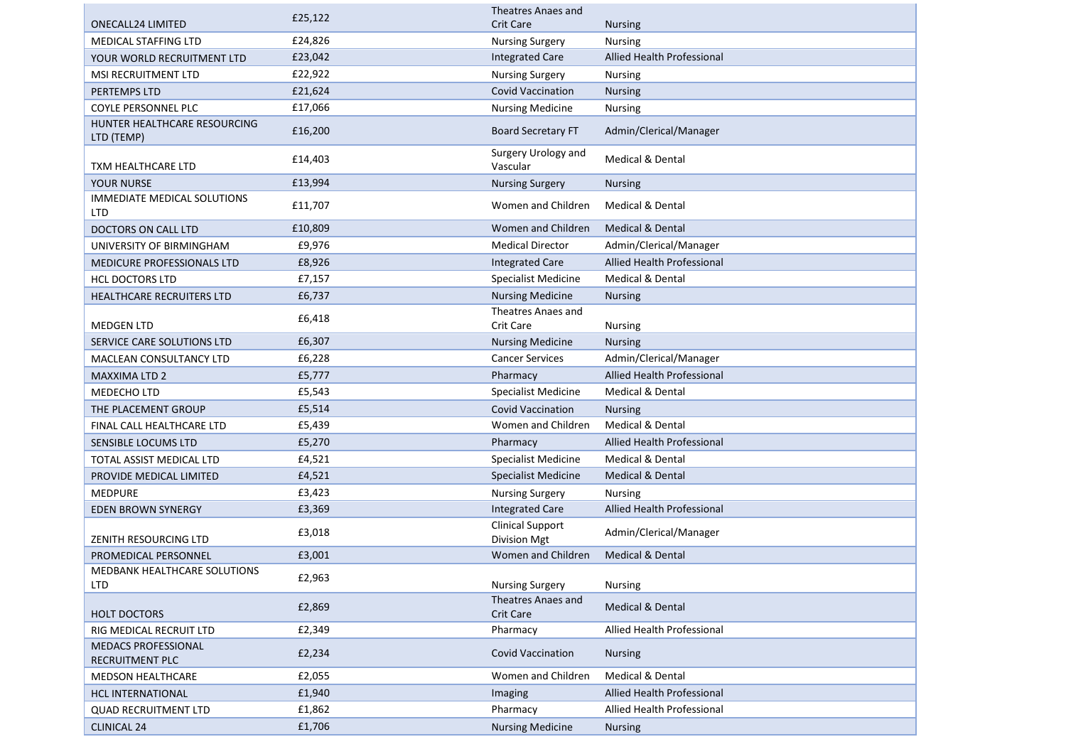|                                                  | £25,122 | Theatres Anaes and                             |                                   |
|--------------------------------------------------|---------|------------------------------------------------|-----------------------------------|
| <b>ONECALL24 LIMITED</b>                         |         | <b>Crit Care</b>                               | <b>Nursing</b>                    |
| <b>MEDICAL STAFFING LTD</b>                      | £24,826 | <b>Nursing Surgery</b>                         | <b>Nursing</b>                    |
| YOUR WORLD RECRUITMENT LTD                       | £23,042 | <b>Integrated Care</b>                         | Allied Health Professional        |
| <b>MSI RECRUITMENT LTD</b>                       | £22,922 | <b>Nursing Surgery</b>                         | <b>Nursing</b>                    |
| PERTEMPS LTD                                     | £21,624 | <b>Covid Vaccination</b>                       | <b>Nursing</b>                    |
| COYLE PERSONNEL PLC                              | £17,066 | <b>Nursing Medicine</b>                        | Nursing                           |
| HUNTER HEALTHCARE RESOURCING<br>LTD (TEMP)       | £16,200 | <b>Board Secretary FT</b>                      | Admin/Clerical/Manager            |
| TXM HEALTHCARE LTD                               | £14,403 | Surgery Urology and<br>Vascular                | Medical & Dental                  |
| <b>YOUR NURSE</b>                                | £13,994 | <b>Nursing Surgery</b>                         | <b>Nursing</b>                    |
| <b>IMMEDIATE MEDICAL SOLUTIONS</b><br><b>LTD</b> | £11,707 | Women and Children                             | Medical & Dental                  |
| DOCTORS ON CALL LTD                              | £10,809 | Women and Children                             | <b>Medical &amp; Dental</b>       |
| UNIVERSITY OF BIRMINGHAM                         | £9,976  | <b>Medical Director</b>                        | Admin/Clerical/Manager            |
| MEDICURE PROFESSIONALS LTD                       | £8,926  | <b>Integrated Care</b>                         | Allied Health Professional        |
| <b>HCL DOCTORS LTD</b>                           | £7,157  | <b>Specialist Medicine</b>                     | <b>Medical &amp; Dental</b>       |
| HEALTHCARE RECRUITERS LTD                        | £6,737  | <b>Nursing Medicine</b>                        | <b>Nursing</b>                    |
| <b>MEDGEN LTD</b>                                | £6,418  | Theatres Anaes and<br><b>Crit Care</b>         | <b>Nursing</b>                    |
| SERVICE CARE SOLUTIONS LTD                       | £6,307  | <b>Nursing Medicine</b>                        | <b>Nursing</b>                    |
| <b>MACLEAN CONSULTANCY LTD</b>                   | £6,228  | <b>Cancer Services</b>                         | Admin/Clerical/Manager            |
| <b>MAXXIMA LTD 2</b>                             | £5,777  | Pharmacy                                       | Allied Health Professional        |
| MEDECHO LTD                                      | £5,543  | Specialist Medicine                            | <b>Medical &amp; Dental</b>       |
| THE PLACEMENT GROUP                              | £5,514  | <b>Covid Vaccination</b>                       | <b>Nursing</b>                    |
| FINAL CALL HEALTHCARE LTD                        | £5,439  | Women and Children                             | Medical & Dental                  |
| SENSIBLE LOCUMS LTD                              | £5,270  | Pharmacy                                       | <b>Allied Health Professional</b> |
| TOTAL ASSIST MEDICAL LTD                         | £4,521  | <b>Specialist Medicine</b>                     | Medical & Dental                  |
| PROVIDE MEDICAL LIMITED                          | £4,521  | <b>Specialist Medicine</b>                     | Medical & Dental                  |
| <b>MEDPURE</b>                                   | £3,423  | <b>Nursing Surgery</b>                         | <b>Nursing</b>                    |
| <b>EDEN BROWN SYNERGY</b>                        | £3,369  | <b>Integrated Care</b>                         | Allied Health Professional        |
| ZENITH RESOURCING LTD                            | £3,018  | <b>Clinical Support</b><br><b>Division Mgt</b> | Admin/Clerical/Manager            |
| PROMEDICAL PERSONNEL                             | £3,001  | Women and Children                             | Medical & Dental                  |
| <b>MEDBANK HEALTHCARE SOLUTIONS</b><br>LTD       | £2,963  | <b>Nursing Surgery</b>                         | <b>Nursing</b>                    |
| HOLT DOCTORS                                     | £2,869  | Theatres Anaes and<br>Crit Care                | Medical & Dental                  |
| RIG MEDICAL RECRUIT LTD                          | £2,349  | Pharmacy                                       | Allied Health Professional        |
| <b>MEDACS PROFESSIONAL</b><br>RECRUITMENT PLC    | £2,234  | <b>Covid Vaccination</b>                       | <b>Nursing</b>                    |
| MEDSON HEALTHCARE                                | £2,055  | Women and Children                             | Medical & Dental                  |
| <b>HCL INTERNATIONAL</b>                         | £1,940  | Imaging                                        | Allied Health Professional        |
| <b>QUAD RECRUITMENT LTD</b>                      | £1,862  | Pharmacy                                       | Allied Health Professional        |
| <b>CLINICAL 24</b>                               | £1,706  | <b>Nursing Medicine</b>                        | <b>Nursing</b>                    |